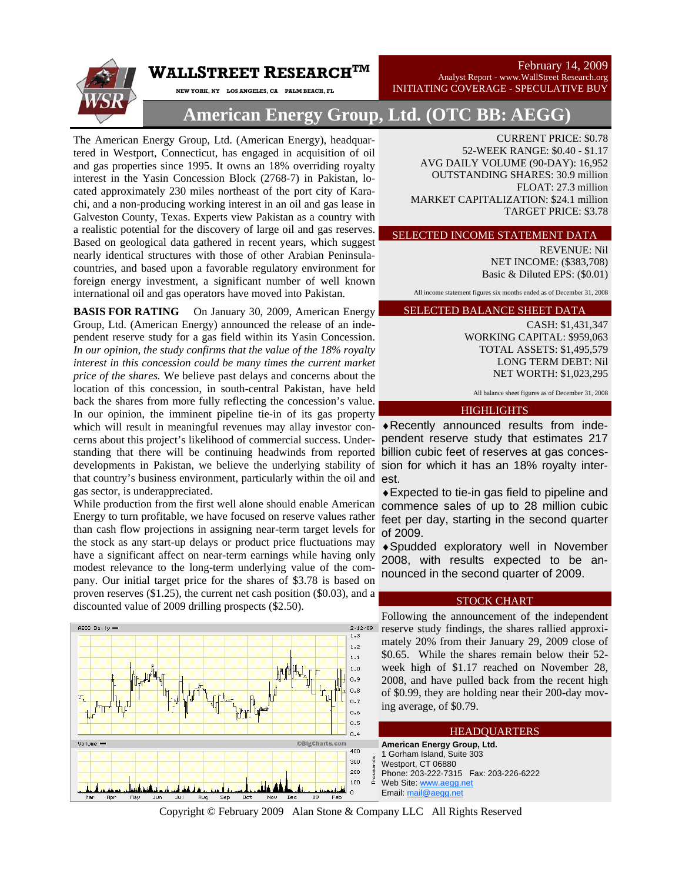February 14, 2009 Analyst Report - www.WallStreet Research.org

INITIATING COVERAGE - SPECULATIVE BUY



**American Energy Group, Ltd. (OTC BB: AEGG)** 

The American Energy Group, Ltd. (American Energy), headquartered in Westport, Connecticut, has engaged in acquisition of oil and gas properties since 1995. It owns an 18% overriding royalty interest in the Yasin Concession Block (2768-7) in Pakistan, located approximately 230 miles northeast of the port city of Karachi, and a non-producing working interest in an oil and gas lease in Galveston County, Texas. Experts view Pakistan as a country with a realistic potential for the discovery of large oil and gas reserves. Based on geological data gathered in recent years, which suggest nearly identical structures with those of other Arabian Peninsulacountries, and based upon a favorable regulatory environment for foreign energy investment, a significant number of well known international oil and gas operators have moved into Pakistan.

**NEW YORK, NY LOS ANGELES, CA PALM BEACH, FL** 

 $\mathbf W$ ALLSTREET  $\mathbf R$ ESEARCH $^{\mathrm{TM}}$ 

developments in Pakistan, we believe the underlying stability of sion for which it has an 18% royalty interthat country's business environment, particularly within the oil and est. **BASIS FOR RATING** On January 30, 2009, American Energy Group, Ltd. (American Energy) announced the release of an independent reserve study for a gas field within its Yasin Concession. *In our opinion, the study confirms that the value of the 18% royalty interest in this concession could be many times the current market price of the shares.* We believe past delays and concerns about the location of this concession, in south-central Pakistan, have held back the shares from more fully reflecting the concession's value. In our opinion, the imminent pipeline tie-in of its gas property which will result in meaningful revenues may allay investor concerns about this project's likelihood of commercial success. Understanding that there will be continuing headwinds from reported gas sector, is underappreciated.

While production from the first well alone should enable American Energy to turn profitable, we have focused on reserve values rather than cash flow projections in assigning near-term target levels for the stock as any start-up delays or product price fluctuations may have a significant affect on near-term earnings while having only modest relevance to the long-term underlying value of the company. Our initial target price for the shares of \$3.78 is based on proven reserves (\$1.25), the current net cash position (\$0.03), and a discounted value of 2009 drilling prospects (\$2.50).



CURRENT PRICE: \$0.78 52-WEEK RANGE: \$0.40 - \$1.17 AVG DAILY VOLUME (90-DAY): 16,952 OUTSTANDING SHARES: 30.9 million FLOAT: 27.3 million MARKET CAPITALIZATION: \$24.1 million TARGET PRICE: \$3.78

SELECTED INCOME STATEMENT DATA

REVENUE: Nil NET INCOME: (\$383,708) Basic & Diluted EPS: (\$0.01)

All income statement figures six months ended as of December 31, 2008

## SELECTED BALANCE SHEET DATA

CASH: \$1,431,347 WORKING CAPITAL: \$959,063 TOTAL ASSETS: \$1,495,579 LONG TERM DEBT: Nil NET WORTH: \$1,023,295

All balance sheet figures as of December 31, 2008

### **HIGHLIGHTS**

♦Recently announced results from independent reserve study that estimates 217 billion cubic feet of reserves at gas conces-

♦Expected to tie-in gas field to pipeline and commence sales of up to 28 million cubic feet per day, starting in the second quarter of 2009.

♦Spudded exploratory well in November 2008, with results expected to be announced in the second quarter of 2009.

### STOCK CHART

Following the announcement of the independent reserve study findings, the shares rallied approximately 20% from their January 29, 2009 close of \$0.65. While the shares remain below their 52 week high of \$1.17 reached on November 28, 2008, and have pulled back from the recent high of \$0.99, they are holding near their 200-day moving average, of \$0.79.

### **American Energy Group, Ltd.** Gorham Island, Suite 303 Westport, CT 06880 **HEADOUARTERS**

Phone: 203-222-7315 Fax: 203-226-6222 Web Site: www.aegg.net Email: mail@aegg.net

Copyright © February 2009 Alan Stone & Company LLC All Rights Reserved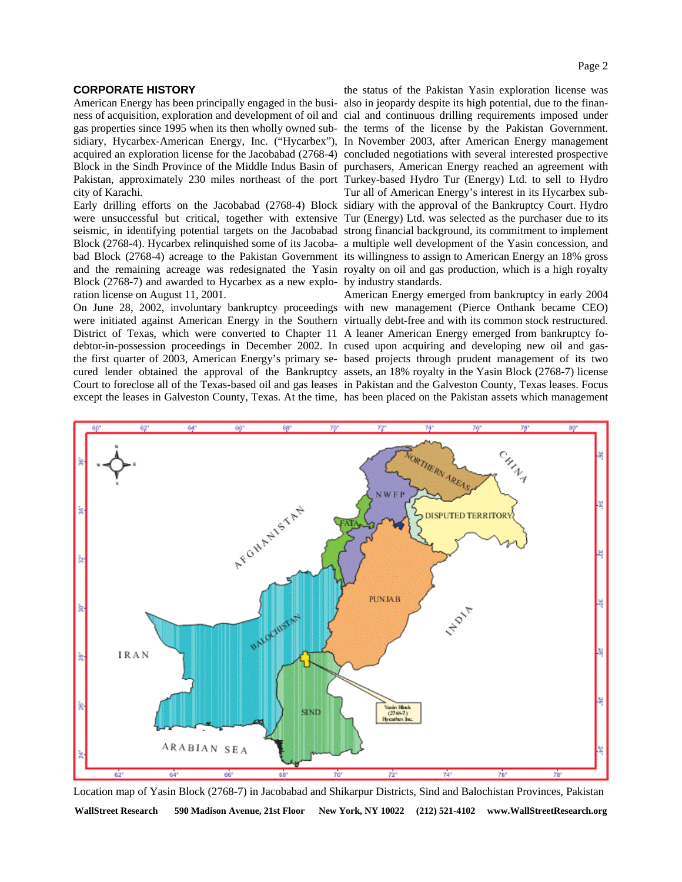### **CORPORATE HISTORY**

city of Karachi.

Block (2768-7) and awarded to Hycarbex as a new explo-by industry standards. ration license on August 11, 2001.

District of Texas, which were converted to Chapter 11 A leaner American Energy emerged from bankruptcy fodebtor-in-possession proceedings in December 2002. In cused upon acquiring and developing new oil and gasexcept the leases in Galveston County, Texas. At the time, has been placed on the Pakistan assets which management

American Energy has been principally engaged in the busi-also in jeopardy despite its high potential, due to the finanness of acquisition, exploration and development of oil and cial and continuous drilling requirements imposed under gas properties since 1995 when its then wholly owned sub-the terms of the license by the Pakistan Government. sidiary, Hycarbex-American Energy, Inc. ("Hycarbex"), In November 2003, after American Energy management acquired an exploration license for the Jacobabad (2768-4) concluded negotiations with several interested prospective Block in the Sindh Province of the Middle Indus Basin of purchasers, American Energy reached an agreement with Pakistan, approximately 230 miles northeast of the port Turkey-based Hydro Tur (Energy) Ltd. to sell to Hydro Early drilling efforts on the Jacobabad (2768-4) Block sidiary with the approval of the Bankruptcy Court. Hydro were unsuccessful but critical, together with extensive Tur (Energy) Ltd. was selected as the purchaser due to its seismic, in identifying potential targets on the Jacobabad strong financial background, its commitment to implement Block (2768-4). Hycarbex relinquished some of its Jacoba-a multiple well development of the Yasin concession, and bad Block (2768-4) acreage to the Pakistan Government its willingness to assign to American Energy an 18% gross and the remaining acreage was redesignated the Yasin royalty on oil and gas production, which is a high royalty the status of the Pakistan Yasin exploration license was Tur all of American Energy's interest in its Hycarbex sub-

On June 28, 2002, involuntary bankruptcy proceedings with new management (Pierce Onthank became CEO) were initiated against American Energy in the Southern virtually debt-free and with its common stock restructured. the first quarter of 2003, American Energy's primary se-based projects through prudent management of its two cured lender obtained the approval of the Bankruptcy assets, an 18% royalty in the Yasin Block (2768-7) license Court to foreclose all of the Texas-based oil and gas leases in Pakistan and the Galveston County, Texas leases. Focus American Energy emerged from bankruptcy in early 2004



WallStreet Research 590 Madison Avenue, 21st Floor New York, NY 10022 (212) 521-4102 www.WallStreetResearch.org Location map of Yasin Block (2768-7) in Jacobabad and Shikarpur Districts, Sind and Balochistan Provinces, Pakistan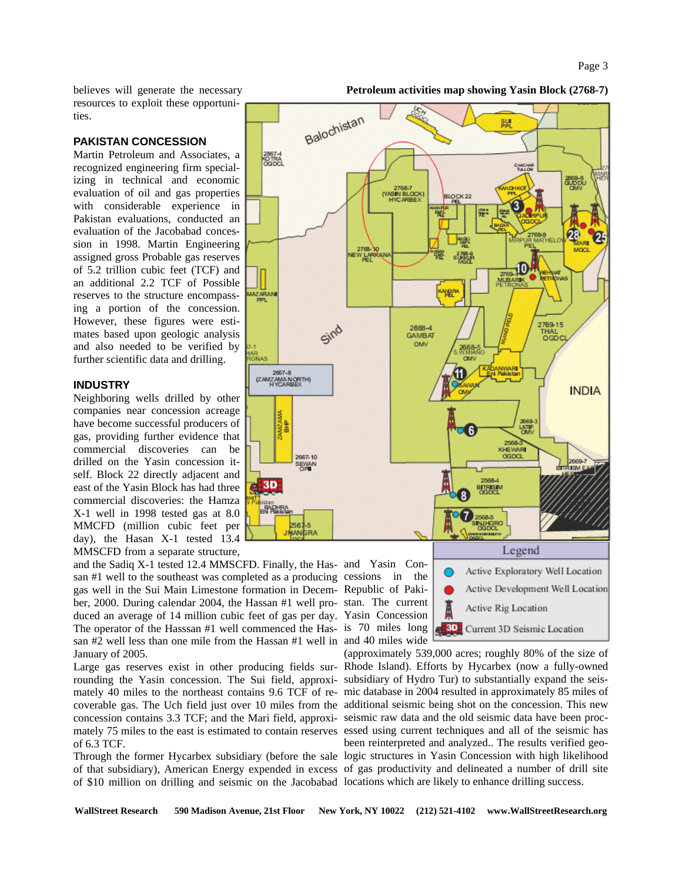believes will generate the necessary resources to exploit these opportunities.

### **PAKISTAN CONCESSION**

Martin Petroleum and Associates, a recognized engineering firm specializing in technical and economic evaluation of oil and gas properties with considerable experience in Pakistan evaluations, conducted an evaluation of the Jacobabad concession in 1998. Martin Engineering assigned gross Probable gas reserves of 5.2 trillion cubic feet (TCF) and an additional 2.2 TCF of Possible reserves to the structure encompassing a portion of the concession. However, these figures were estimates based upon geologic analysis and also needed to be verified by further scientific data and drilling.

### **INDUSTRY**

Neighboring wells drilled by other companies near concession acreage have become successful producers of gas, providing further evidence that commercial discoveries can be drilled on the Yasin concession itself. Block 22 directly adjacent and east of the Yasin Block has had three commercial discoveries: the Hamza X-1 well in 1998 tested gas at 8.0 MMCFD (million cubic feet per day), the Hasan X-1 tested 13.4 MMSCFD from a separate structure,

and the Sadiq X-1 tested 12.4 MMSCFD. Finally, the Has-and Yasin Consan #1 well to the southeast was completed as a producing cessions in the gas well in the Sui Main Limestone formation in Decem-Republic of Pakiber, 2000. During calendar 2004, the Hassan #1 well pro-stan. The current duced an average of 14 million cubic feet of gas per day. Yasin Concession The operator of the Hasssan #1 well commenced the Has-is 70 miles long san #2 well less than one mile from the Hassan #1 well in and 40 miles wide January of 2005.

of 6.3 TCF.

of \$10 million on drilling and seismic on the Jacobabad locations which are likely to enhance drilling success.



### **Petroleum activities map showing Yasin Block (2768-7)**

Legend Active Exploratory Well Location Active Development Well Location Active Rig Location Current 3D Seismic Location

Large gas reserves exist in other producing fields sur-Rhode Island). Efforts by Hycarbex (now a fully-owned rounding the Yasin concession. The Sui field, approxi-subsidiary of Hydro Tur) to substantially expand the seismately 40 miles to the northeast contains 9.6 TCF of re-mic database in 2004 resulted in approximately 85 miles of coverable gas. The Uch field just over 10 miles from the additional seismic being shot on the concession. This new concession contains 3.3 TCF; and the Mari field, approxi-seismic raw data and the old seismic data have been procmately 75 miles to the east is estimated to contain reserves essed using current techniques and all of the seismic has Through the former Hycarbex subsidiary (before the sale logic structures in Yasin Concession with high likelihood of that subsidiary), American Energy expended in excess of gas productivity and delineated a number of drill site (approximately 539,000 acres; roughly 80% of the size of been reinterpreted and analyzed.. The results verified geo-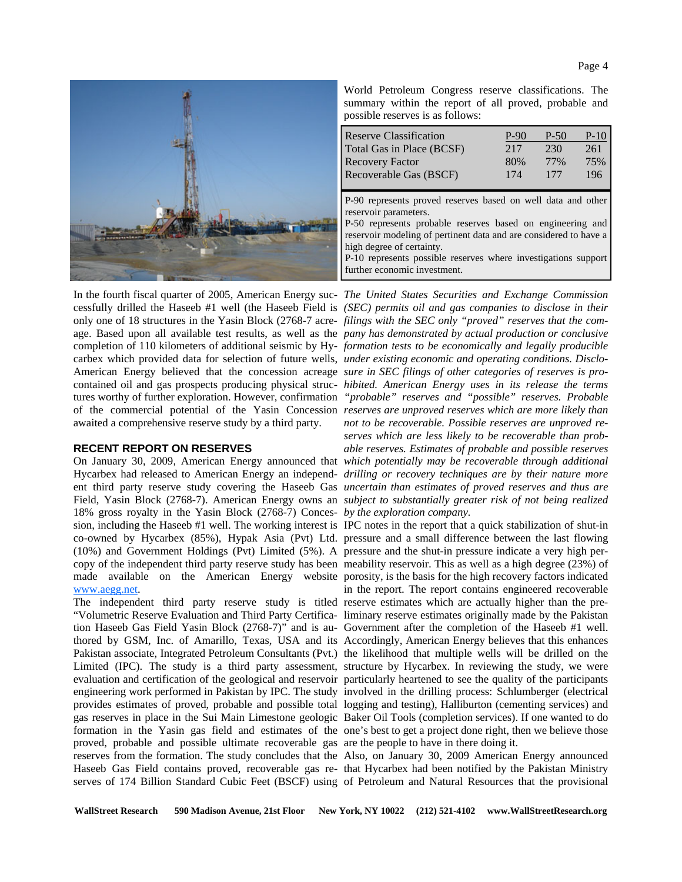Page 4



In the fourth fiscal quarter of 2005, American Energy suc-*The United States Securities and Exchange Commission*  awaited a comprehensive reserve study by a third party.

### **RECENT REPORT ON RESERVES**

18% gross royalty in the Yasin Block (2768-7) Conces-*by the exploration company.*  sion, including the Haseeb #1 well. The working interest is IPC notes in the report that a quick stabilization of shut-in co-owned by Hycarbex (85%), Hypak Asia (Pvt) Ltd. pressure and a small difference between the last flowing (10%) and Government Holdings (Pvt) Limited (5%). A pressure and the shut-in pressure indicate a very high percopy of the independent third party reserve study has been meability reservoir. This as well as a high degree (23%) of made available on the American Energy website porosity, is the basis for the high recovery factors indicated www.aegg.net.

proved, probable and possible ultimate recoverable gas are the people to have in there doing it.

World Petroleum Congress reserve classifications. The summary within the report of all proved, probable and possible reserves is as follows:

| <b>Reserve Classification</b>                                     | P-90 | $P-50$ | $P-10$ |
|-------------------------------------------------------------------|------|--------|--------|
| Total Gas in Place (BCSF)                                         | 217  | 230    | 261    |
| <b>Recovery Factor</b>                                            | 80%  | 77%    | 75%    |
| Recoverable Gas (BSCF)                                            | 174  | 177    | 196    |
|                                                                   |      |        |        |
| P-90 represents proved reserves based on well data and other      |      |        |        |
| reservoir parameters.                                             |      |        |        |
| P-50 represents probable reserves based on engineering and        |      |        |        |
| reservoir modeling of pertinent data and are considered to have a |      |        |        |
| high degree of certainty.                                         |      |        |        |
| P-10 represents possible reserves where investigations support    |      |        |        |
| further economic investment.                                      |      |        |        |

cessfully drilled the Haseeb #1 well (the Haseeb Field is *(SEC) permits oil and gas companies to disclose in their*  only one of 18 structures in the Yasin Block (2768-7 acre-*filings with the SEC only "proved" reserves that the com*age. Based upon all available test results, as well as the *pany has demonstrated by actual production or conclusive*  completion of 110 kilometers of additional seismic by Hy-*formation tests to be economically and legally producible*  carbex which provided data for selection of future wells, *under existing economic and operating conditions. Disclo-*American Energy believed that the concession acreage *sure in SEC filings of other categories of reserves is pro*contained oil and gas prospects producing physical struc-*hibited. American Energy uses in its release the terms*  tures worthy of further exploration. However, confirmation *"probable" reserves and "possible" reserves. Probable*  of the commercial potential of the Yasin Concession *reserves are unproved reserves which are more likely than* On January 30, 2009, American Energy announced that *which potentially may be recoverable through additional*  Hycarbex had released to American Energy an independ-*drilling or recovery techniques are by their nature more*  ent third party reserve study covering the Haseeb Gas *uncertain than estimates of proved reserves and thus are*  Field, Yasin Block (2768-7). American Energy owns an *subject to substantially greater risk of not being realized not to be recoverable. Possible reserves are unproved reserves which are less likely to be recoverable than probable reserves. Estimates of probable and possible reserves* 

The independent third party reserve study is titled reserve estimates which are actually higher than the pre-"Volumetric Reserve Evaluation and Third Party Certifica-liminary reserve estimates originally made by the Pakistan tion Haseeb Gas Field Yasin Block (2768-7)" and is au-Government after the completion of the Haseeb #1 well. thored by GSM, Inc. of Amarillo, Texas, USA and its Accordingly, American Energy believes that this enhances Pakistan associate, Integrated Petroleum Consultants (Pvt.) the likelihood that multiple wells will be drilled on the Limited (IPC). The study is a third party assessment, structure by Hycarbex. In reviewing the study, we were evaluation and certification of the geological and reservoir particularly heartened to see the quality of the participants engineering work performed in Pakistan by IPC. The study involved in the drilling process: Schlumberger (electrical provides estimates of proved, probable and possible total logging and testing), Halliburton (cementing services) and gas reserves in place in the Sui Main Limestone geologic Baker Oil Tools (completion services). If one wanted to do formation in the Yasin gas field and estimates of the one's best to get a project done right, then we believe those in the report. The report contains engineered recoverable

reserves from the formation. The study concludes that the Also, on January 30, 2009 American Energy announced Haseeb Gas Field contains proved, recoverable gas re-that Hycarbex had been notified by the Pakistan Ministry serves of 174 Billion Standard Cubic Feet (BSCF) using of Petroleum and Natural Resources that the provisional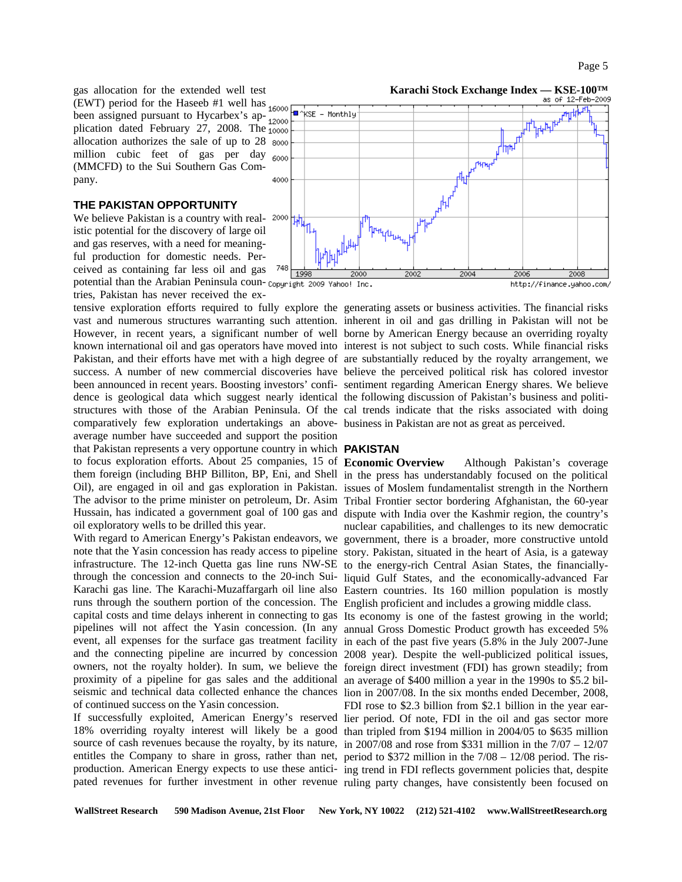gas allocation for the extended well test (EWT) period for the Haseeb #1 well has  $_{16000}$ been assigned pursuant to Hycarbex's  $_{\text{ap-12000}}^{\text{1000}}$ plication dated February 27, 2008. The  $\frac{12000}{10000}$ allocation authorizes the sale of up to 28 million cubic feet of gas per day  $_{6000}$ (MMCFD) to the Sui Southern Gas Company.

### **THE PAKISTAN OPPORTUNITY**

We believe Pakistan is a country with real-  $2000$ istic potential for the discovery of large oil and gas reserves, with a need for meaningful production for domestic needs. Perceived as containing far less oil and gas potential than the Arabian Peninsula coun-copyright 2009 Vahoo! Inc. tries, Pakistan has never received the ex-

tensive exploration efforts required to fully explore the generating assets or business activities. The financial risks comparatively few exploration undertakings an above-business in Pakistan are not as great as perceived. average number have succeeded and support the position that Pakistan represents a very opportune country in which **PAKISTAN**  to focus exploration efforts. About 25 companies, 15 of Economic Overview oil exploratory wells to be drilled this year.

infrastructure. The 12-inch Quetta gas line runs NW-SE to the energy-rich Central Asian States, the financiallyruns through the southern portion of the concession. The English proficient and includes a growing middle class. capital costs and time delays inherent in connecting to gas Its economy is one of the fastest growing in the world; pipelines will not affect the Yasin concession. (In any annual Gross Domestic Product growth has exceeded 5% event, all expenses for the surface gas treatment facility in each of the past five years (5.8% in the July 2007-June and the connecting pipeline are incurred by concession 2008 year). Despite the well-publicized political issues, owners, not the royalty holder). In sum, we believe the foreign direct investment (FDI) has grown steadily; from proximity of a pipeline for gas sales and the additional an average of \$400 million a year in the 1990s to \$5.2 bilseismic and technical data collected enhance the chances lion in 2007/08. In the six months ended December, 2008, of continued success on the Yasin concession.

entitles the Company to share in gross, rather than net, period to \$372 million in the 7/08 – 12/08 period. The ris-



vast and numerous structures warranting such attention. inherent in oil and gas drilling in Pakistan will not be However, in recent years, a significant number of well borne by American Energy because an overriding royalty known international oil and gas operators have moved into interest is not subject to such costs. While financial risks Pakistan, and their efforts have met with a high degree of are substantially reduced by the royalty arrangement, we success. A number of new commercial discoveries have believe the perceived political risk has colored investor been announced in recent years. Boosting investors' confi-sentiment regarding American Energy shares. We believe dence is geological data which suggest nearly identical the following discussion of Pakistan's business and politistructures with those of the Arabian Peninsula. Of the cal trends indicate that the risks associated with doing

them foreign (including BHP Billiton, BP, Eni, and Shell in the press has understandably focused on the political Oil), are engaged in oil and gas exploration in Pakistan. issues of Moslem fundamentalist strength in the Northern The advisor to the prime minister on petroleum, Dr. Asim Tribal Frontier sector bordering Afghanistan, the 60-year Hussain, has indicated a government goal of 100 gas and dispute with India over the Kashmir region, the country's With regard to American Energy's Pakistan endeavors, we government, there is a broader, more constructive untold note that the Yasin concession has ready access to pipeline story. Pakistan, situated in the heart of Asia, is a gateway through the concession and connects to the 20-inch Sui-liquid Gulf States, and the economically-advanced Far Karachi gas line. The Karachi-Muzaffargarh oil line also Eastern countries. Its 160 million population is mostly Although Pakistan's coverage nuclear capabilities, and challenges to its new democratic

If successfully exploited, American Energy's reserved lier period. Of note, FDI in the oil and gas sector more 18% overriding royalty interest will likely be a good than tripled from \$194 million in 2004/05 to \$635 million source of cash revenues because the royalty, by its nature, in 2007/08 and rose from \$331 million in the 7/07 – 12/07 production. American Energy expects to use these antici- ing trend in FDI reflects government policies that, despite pated revenues for further investment in other revenue ruling party changes, have consistently been focused on FDI rose to \$2.3 billion from \$2.1 billion in the year ear-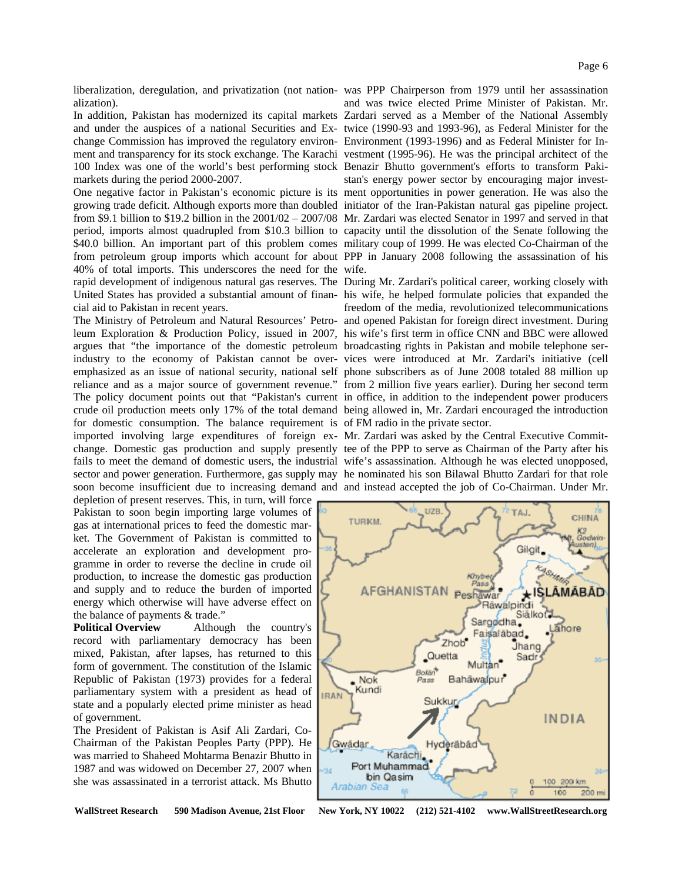alization).

change Commission has improved the regulatory environ-Environment (1993-1996) and as Federal Minister for In-100 Index was one of the world's best performing stock Benazir Bhutto government's efforts to transform Pakimarkets during the period 2000-2007.

growing trade deficit. Although exports more than doubled initiator of the Iran-Pakistan natural gas pipeline project. from \$9.1 billion to \$19.2 billion in the 2001/02 – 2007/08 Mr. Zardari was elected Senator in 1997 and served in that period, imports almost quadrupled from \$10.3 billion to capacity until the dissolution of the Senate following the \$40.0 billion. An important part of this problem comes military coup of 1999. He was elected Co-Chairman of the from petroleum group imports which account for about PPP in January 2008 following the assassination of his 40% of total imports. This underscores the need for the wife. rapid development of indigenous natural gas reserves. The During Mr. Zardari's political career, working closely with United States has provided a substantial amount of finan-his wife, he helped formulate policies that expanded the cial aid to Pakistan in recent years.

argues that "the importance of the domestic petroleum broadcasting rights in Pakistan and mobile telephone serfor domestic consumption. The balance requirement is of FM radio in the private sector. imported involving large expenditures of foreign ex-Mr. Zardari was asked by the Central Executive Commit-

depletion of present reserves. This, in turn, will force Pakistan to soon begin importing large volumes of gas at international prices to feed the domestic market. The Government of Pakistan is committed to accelerate an exploration and development programme in order to reverse the decline in crude oil production, to increase the domestic gas production and supply and to reduce the burden of imported energy which otherwise will have adverse effect on the balance of payments & trade."

**Political Overview** Although the country's record with parliamentary democracy has been mixed, Pakistan, after lapses, has returned to this form of government. The constitution of the Islamic Republic of Pakistan (1973) provides for a federal parliamentary system with a president as head of state and a popularly elected prime minister as head of government.

The President of Pakistan is Asif Ali Zardari, Co-Chairman of the Pakistan Peoples Party (PPP). He was married to Shaheed Mohtarma Benazir Bhutto in 1987 and was widowed on December 27, 2007 when she was assassinated in a terrorist attack. Ms Bhutto

liberalization, deregulation, and privatization (not nation-was PPP Chairperson from 1979 until her assassination In addition, Pakistan has modernized its capital markets Zardari served as a Member of the National Assembly and under the auspices of a national Securities and Ex-twice (1990-93 and 1993-96), as Federal Minister for the ment and transparency for its stock exchange. The Karachi vestment (1995-96). He was the principal architect of the One negative factor in Pakistan's economic picture is its ment opportunities in power generation. He was also the and was twice elected Prime Minister of Pakistan. Mr. stan's energy power sector by encouraging major invest-

The Ministry of Petroleum and Natural Resources' Petro-and opened Pakistan for foreign direct investment. During leum Exploration & Production Policy, issued in 2007, his wife's first term in office CNN and BBC were allowed industry to the economy of Pakistan cannot be over-vices were introduced at Mr. Zardari's initiative (cell emphasized as an issue of national security, national self phone subscribers as of June 2008 totaled 88 million up reliance and as a major source of government revenue." from 2 million five years earlier). During her second term The policy document points out that "Pakistan's current in office, in addition to the independent power producers crude oil production meets only 17% of the total demand being allowed in, Mr. Zardari encouraged the introduction freedom of the media, revolutionized telecommunications

change. Domestic gas production and supply presently tee of the PPP to serve as Chairman of the Party after his fails to meet the demand of domestic users, the industrial wife's assassination. Although he was elected unopposed, sector and power generation. Furthermore, gas supply may he nominated his son Bilawal Bhutto Zardari for that role soon become insufficient due to increasing demand and and instead accepted the job of Co-Chairman. Under Mr.

UZB



WallStreet Research 590 Madison Avenue, 21st Floor New York, NY 10022 (212) 521-4102 www.WallStreetResearch.org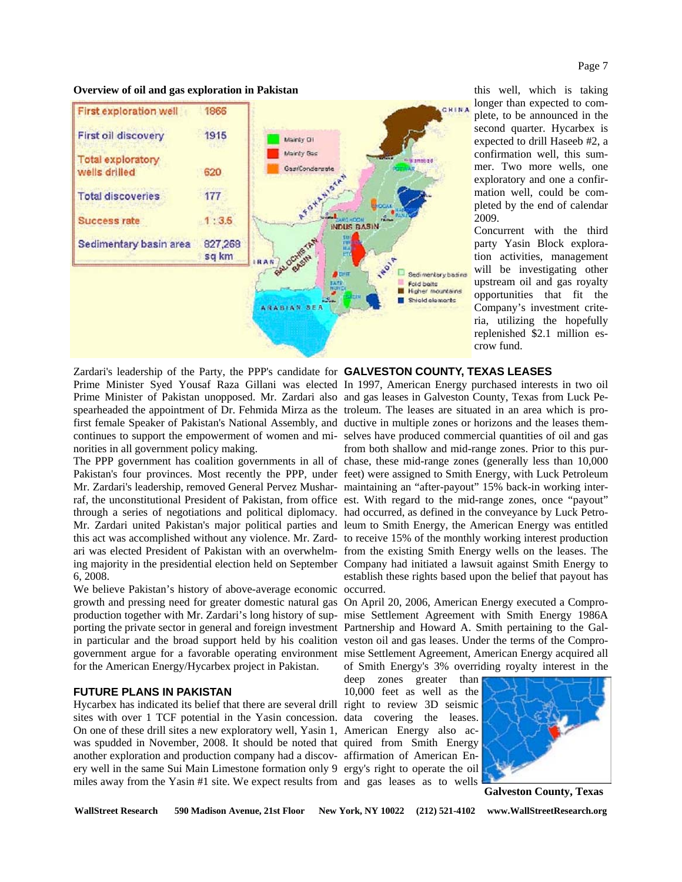### **Overview of oil and gas exploration in Pakistan**



Zardari's leadership of the Party, the PPP's candidate for **GALVESTON COUNTY, TEXAS LEASES**  norities in all government policy making.

Mr. Zardari's leadership, removed General Pervez Mushar-maintaining an "after-payout" 15% back-in working interthrough a series of negotiations and political diplomacy. had occurred, as defined in the conveyance by Luck Petro-6, 2008.

We believe Pakistan's history of above-average economic occurred. growth and pressing need for greater domestic natural gas On April 20, 2006, American Energy executed a Comproproduction together with Mr. Zardari's long history of sup-mise Settlement Agreement with Smith Energy 1986A porting the private sector in general and foreign investment Partnership and Howard A. Smith pertaining to the Galin particular and the broad support held by his coalition veston oil and gas leases. Under the terms of the Comprogovernment argue for a favorable operating environment mise Settlement Agreement, American Energy acquired all for the American Energy/Hycarbex project in Pakistan.

### **FUTURE PLANS IN PAKISTAN**

Hycarbex has indicated its belief that there are several drill right to review 3D seismic sites with over 1 TCF potential in the Yasin concession. data covering the leases. On one of these drill sites a new exploratory well, Yasin 1, American Energy also acwas spudded in November, 2008. It should be noted that quired from Smith Energy another exploration and production company had a discov-affirmation of American Enery well in the same Sui Main Limestone formation only 9 ergy's right to operate the oil miles away from the Yasin #1 site. We expect results from and gas leases as to wells

Prime Minister Syed Yousaf Raza Gillani was elected In 1997, American Energy purchased interests in two oil Prime Minister of Pakistan unopposed. Mr. Zardari also and gas leases in Galveston County, Texas from Luck Pespearheaded the appointment of Dr. Fehmida Mirza as the troleum. The leases are situated in an area which is profirst female Speaker of Pakistan's National Assembly, and ductive in multiple zones or horizons and the leases themcontinues to support the empowerment of women and mi-selves have produced commercial quantities of oil and gas The PPP government has coalition governments in all of chase, these mid-range zones (generally less than 10,000 Pakistan's four provinces. Most recently the PPP, under feet) were assigned to Smith Energy, with Luck Petroleum raf, the unconstitutional President of Pakistan, from office est. With regard to the mid-range zones, once "payout" Mr. Zardari united Pakistan's major political parties and leum to Smith Energy, the American Energy was entitled this act was accomplished without any violence. Mr. Zard-to receive 15% of the monthly working interest production ari was elected President of Pakistan with an overwhelm-from the existing Smith Energy wells on the leases. The ing majority in the presidential election held on September Company had initiated a lawsuit against Smith Energy to from both shallow and mid-range zones. Prior to this purestablish these rights based upon the belief that payout has

of Smith Energy's 3% overriding royalty interest in the

deep zones greater than 10,000 feet as well as the



**Galveston County, Texas** 

WallStreet Research 590 Madison Avenue, 21st Floor New York, NY 10022 (212) 521-4102 www.WallStreetResearch.org

this well, which is taking longer than expected to complete, to be announced in the second quarter. Hycarbex is expected to drill Haseeb #2, a confirmation well, this summer. Two more wells, one exploratory and one a confirmation well, could be completed by the end of calendar 2009.

Concurrent with the third party Yasin Block exploration activities, management will be investigating other upstream oil and gas royalty opportunities that fit the Company's investment criteria, utilizing the hopefully replenished \$2.1 million escrow fund.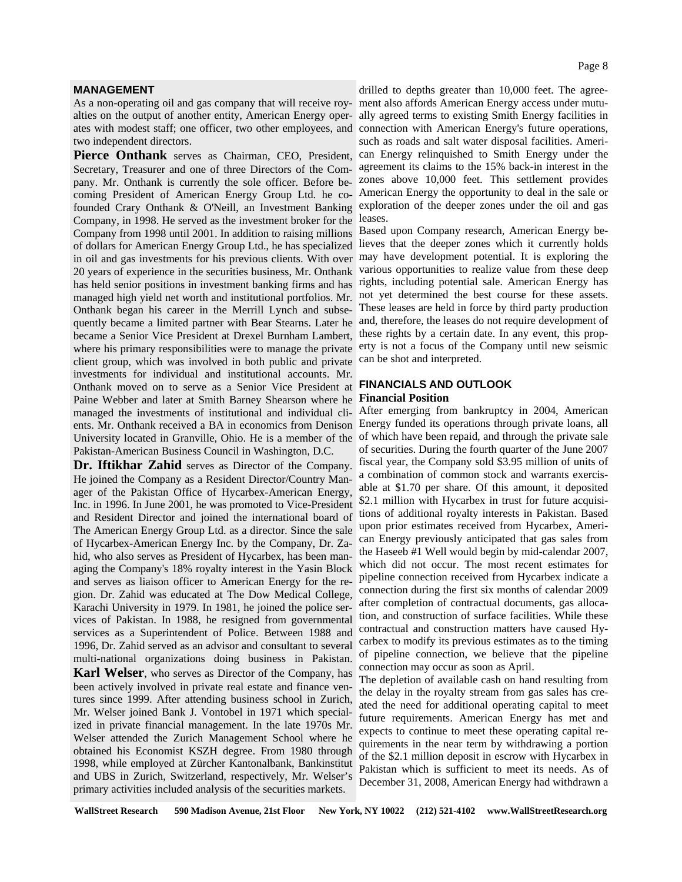### **MANAGEMENT**

alties on the output of another entity, American Energy oper- ally agreed terms to existing Smith Energy facilities in ates with modest staff; one officer, two other employees, and connection with American Energy's future operations, two independent directors.

Secretary, Treasurer and one of three Directors of the Com- agreement its claims to the 15% back-in interest in the coming President of American Energy Group Ltd. he co-<br>
American Energy the opportunity to deal in the sale or founded Crary Onthank & O'Neill, an Investment Banking exploration of the deeper zones under the oil and gas Company, in 1998. He served as the investment broker for the leases. Company from 1998 until 2001. In addition to raising millions Based upon Company research, American Energy beof dollars for American Energy Group Ltd., he has specialized lieves that the deeper zones which it currently holds in oil and gas investments for his previous clients. With over may have development potential. It is exploring the 20 years of experience in the securities business, Mr. Onthank various opportunities to realize value from these deep has held senior positions in investment banking firms and has rights, including potential sale. American Energy has managed high yield net worth and institutional portfolios. Mr. not yet determined the best course for these assets. quently became a limited partner with Bear Stearns. Later he and, therefore, the leases do not require development of became a Senior Vice President at Drexel Burnham Lambert, these rights by a certain date. In any event, this propwhere his primary responsibilities were to manage the private erty is not a focus of the Company until new seismic client group, which was involved in both public and private can be shot and interpreted. **Financial Position** Paine Webber and later at Smith Barney Shearson where he managed the investments of institutional and individual cli-<br>After emerging from bankruptcy in 2004, American ents. Mr. Onthank received a BA in economics from Denison Energy funded its operations through private loans, all University located in Granville, Ohio. He is a member of the of which have been repaid, and through the private sale pany. Mr. Onthank is currently the sole officer. Before be-Onthank began his career in the Merrill Lynch and subseinvestments for individual and institutional accounts. Mr. Onthank moved on to serve as a Senior Vice President at Pakistan-American Business Council in Washington, D.C.

**Dr. Iftikhar Zahid** serves as Director of the Company. He joined the Company as a Resident Director/Country Manager of the Pakistan Office of Hycarbex-American Energy, Inc. in 1996. In June 2001, he was promoted to Vice-President and Resident Director and joined the international board of The American Energy Group Ltd. as a director. Since the sale of Hycarbex-American Energy Inc. by the Company, Dr. Zahid, who also serves as President of Hycarbex, has been managing the Company's 18% royalty interest in the Yasin Block and serves as liaison officer to American Energy for the region. Dr. Zahid was educated at The Dow Medical College, Karachi University in 1979. In 1981, he joined the police services of Pakistan. In 1988, he resigned from governmental services as a Superintendent of Police. Between 1988 and 1996, Dr. Zahid served as an advisor and consultant to several multi-national organizations doing business in Pakistan.

**Karl Welser**, who serves as Director of the Company, has been actively involved in private real estate and finance ventures since 1999. After attending business school in Zurich, Mr. Welser joined Bank J. Vontobel in 1971 which specialized in private financial management. In the late 1970s Mr. Welser attended the Zurich Management School where he obtained his Economist KSZH degree. From 1980 through 1998, while employed at Zürcher Kantonalbank, Bankinstitut and UBS in Zurich, Switzerland, respectively, Mr. Welser's primary activities included analysis of the securities markets.

drilled to depths greater than 10,000 feet. The agree-As a non-operating oil and gas company that will receive roy- ment also affords American Energy access under mutusuch as roads and salt water disposal facilities. Ameri-Pierce Onthank serves as Chairman, CEO, President, can Energy relinquished to Smith Energy under the zones above 10,000 feet. This settlement provides

These leases are held in force by third party production

# **FINANCIALS AND OUTLOOK**

of securities. During the fourth quarter of the June 2007 fiscal year, the Company sold \$3.95 million of units of a combination of common stock and warrants exercisable at \$1.70 per share. Of this amount, it deposited \$2.1 million with Hycarbex in trust for future acquisitions of additional royalty interests in Pakistan. Based upon prior estimates received from Hycarbex, American Energy previously anticipated that gas sales from the Haseeb #1 Well would begin by mid-calendar 2007, which did not occur. The most recent estimates for pipeline connection received from Hycarbex indicate a connection during the first six months of calendar 2009 after completion of contractual documents, gas allocation, and construction of surface facilities. While these contractual and construction matters have caused Hycarbex to modify its previous estimates as to the timing of pipeline connection, we believe that the pipeline connection may occur as soon as April.

The depletion of available cash on hand resulting from the delay in the royalty stream from gas sales has created the need for additional operating capital to meet future requirements. American Energy has met and expects to continue to meet these operating capital requirements in the near term by withdrawing a portion of the \$2.1 million deposit in escrow with Hycarbex in Pakistan which is sufficient to meet its needs. As of December 31, 2008, American Energy had withdrawn a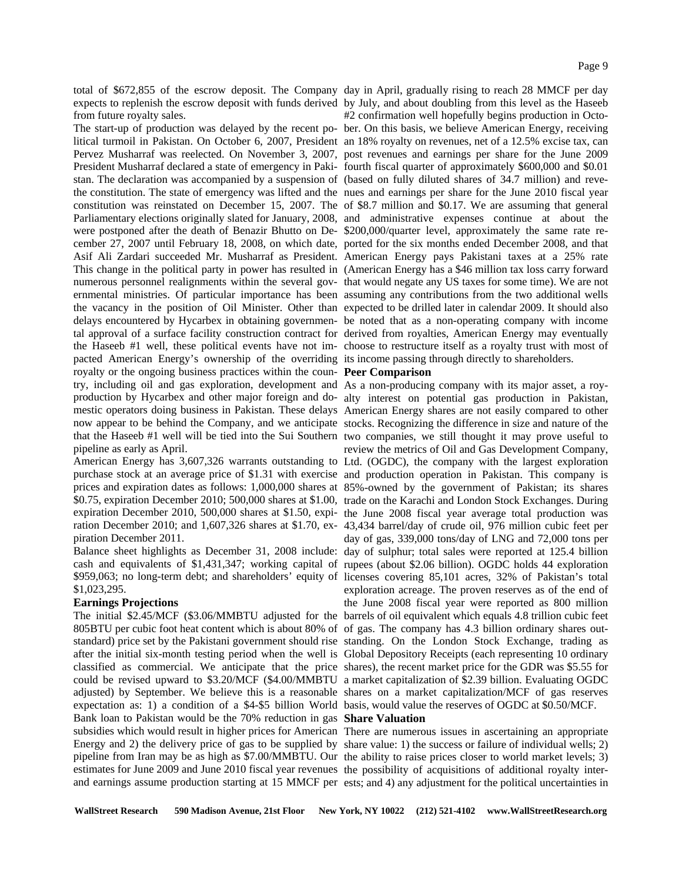total of \$672,855 of the escrow deposit. The Company day in April, gradually rising to reach 28 MMCF per day expects to replenish the escrow deposit with funds derived by July, and about doubling from this level as the Haseeb from future royalty sales.

stan. The declaration was accompanied by a suspension of (based on fully diluted shares of 34.7 million) and revewere postponed after the death of Benazir Bhutto on De- \$200,000/quarter level, approximately the same rate repacted American Energy's ownership of the overriding its income passing through directly to shareholders. royalty or the ongoing business practices within the coun- Peer Comparison try, including oil and gas exploration, development and As a non-producing company with its major asset, a roypipeline as early as April.

piration December 2011.

\$1,023,295.

### **Earnings Projections**

The initial \$2.45/MCF (\$3.06/MMBTU adjusted for the barrels of oil equivalent which equals 4.8 trillion cubic feet 805BTU per cubic foot heat content which is about 80% of of gas. The company has 4.3 billion ordinary shares outstandard) price set by the Pakistani government should rise standing. On the London Stock Exchange, trading as after the initial six-month testing period when the well is Global Depository Receipts (each representing 10 ordinary classified as commercial. We anticipate that the price shares), the recent market price for the GDR was \$5.55 for could be revised upward to \$3.20/MCF (\$4.00/MMBTU a market capitalization of \$2.39 billion. Evaluating OGDC adjusted) by September. We believe this is a reasonable shares on a market capitalization/MCF of gas reserves expectation as: 1) a condition of a \$4-\$5 billion World basis, would value the reserves of OGDC at \$0.50/MCF. Bank loan to Pakistan would be the 70% reduction in gas **Share Valuation** subsidies which would result in higher prices for American There are numerous issues in ascertaining an appropriate Energy and 2) the delivery price of gas to be supplied by share value: 1) the success or failure of individual wells; 2) pipeline from Iran may be as high as \$7.00/MMBTU. Our the ability to raise prices closer to world market levels; 3) estimates for June 2009 and June 2010 fiscal year revenues the possibility of acquisitions of additional royalty interand earnings assume production starting at 15 MMCF per ests; and 4) any adjustment for the political uncertainties in

#2 confirmation well hopefully begins production in Octo-The start-up of production was delayed by the recent po- ber. On this basis, we believe American Energy, receiving litical turmoil in Pakistan. On October 6, 2007, President an 18% royalty on revenues, net of a 12.5% excise tax, can Pervez Musharraf was reelected. On November 3, 2007, post revenues and earnings per share for the June 2009 President Musharraf declared a state of emergency in Paki- fourth fiscal quarter of approximately \$600,000 and \$0.01 the constitution. The state of emergency was lifted and the nues and earnings per share for the June 2010 fiscal year constitution was reinstated on December 15, 2007. The of \$8.7 million and \$0.17. We are assuming that general Parliamentary elections originally slated for January, 2008, and administrative expenses continue at about the cember 27, 2007 until February 18, 2008, on which date, ported for the six months ended December 2008, and that Asif Ali Zardari succeeded Mr. Musharraf as President. American Energy pays Pakistani taxes at a 25% rate This change in the political party in power has resulted in (American Energy has a \$46 million tax loss carry forward numerous personnel realignments within the several gov- that would negate any US taxes for some time). We are not ernmental ministries. Of particular importance has been assuming any contributions from the two additional wells the vacancy in the position of Oil Minister. Other than expected to be drilled later in calendar 2009. It should also delays encountered by Hycarbex in obtaining governmen- be noted that as a non-operating company with income tal approval of a surface facility construction contract for derived from royalties, American Energy may eventually the Haseeb #1 well, these political events have not im-choose to restructure itself as a royalty trust with most of

production by Hycarbex and other major foreign and do- alty interest on potential gas production in Pakistan, mestic operators doing business in Pakistan. These delays American Energy shares are not easily compared to other now appear to be behind the Company, and we anticipate stocks. Recognizing the difference in size and nature of the that the Haseeb #1 well will be tied into the Sui Southern two companies, we still thought it may prove useful to review the metrics of Oil and Gas Development Company, American Energy has 3,607,326 warrants outstanding to Ltd. (OGDC), the company with the largest exploration purchase stock at an average price of \$1.31 with exercise and production operation in Pakistan. This company is prices and expiration dates as follows: 1,000,000 shares at 85%-owned by the government of Pakistan; its shares \$0.75, expiration December 2010; 500,000 shares at \$1.00, trade on the Karachi and London Stock Exchanges. During expiration December 2010, 500,000 shares at \$1.50, expi- the June 2008 fiscal year average total production was ration December 2010; and 1,607,326 shares at \$1.70, ex- 43,434 barrel/day of crude oil, 976 million cubic feet per day of gas, 339,000 tons/day of LNG and 72,000 tons per Balance sheet highlights as December 31, 2008 include: day of sulphur; total sales were reported at 125.4 billion cash and equivalents of \$1,431,347; working capital of rupees (about \$2.06 billion). OGDC holds 44 exploration \$959,063; no long-term debt; and shareholders' equity of licenses covering 85,101 acres, 32% of Pakistan's total exploration acreage. The proven reserves as of the end of the June 2008 fiscal year were reported as 800 million